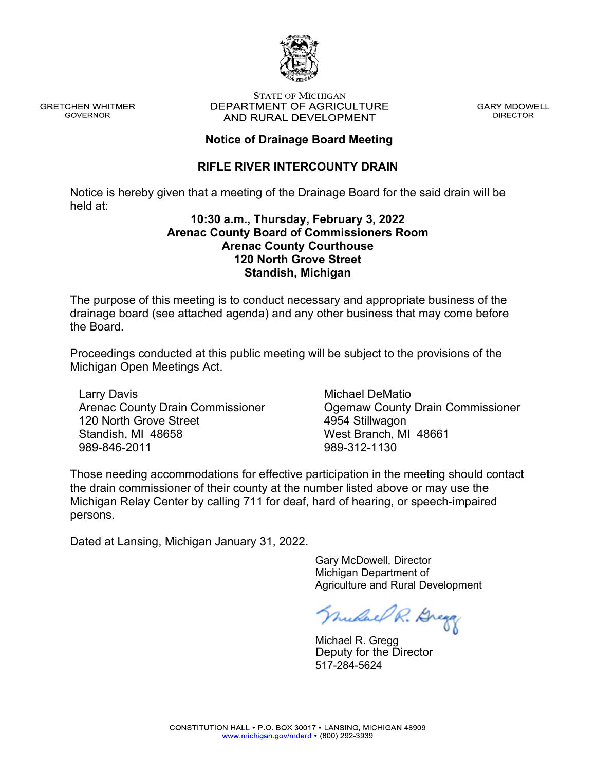

**GRETCHEN WHITMER GOVERNOR** 

#### **STATE OF MICHIGAN** DEPARTMENT OF AGRICULTURE AND RURAL DEVELOPMENT

**GARY MDOWELL DIRECTOR** 

## **Notice of Drainage Board Meeting**

## **RIFLE RIVER INTERCOUNTY DRAIN**

Notice is hereby given that a meeting of the Drainage Board for the said drain will be held at:

## **10:30 a.m., Thursday, February 3, 2022 Arenac County Board of Commissioners Room Arenac County Courthouse 120 North Grove Street Standish, Michigan**

The purpose of this meeting is to conduct necessary and appropriate business of the drainage board (see attached agenda) and any other business that may come before the Board.

Proceedings conducted at this public meeting will be subject to the provisions of the Michigan Open Meetings Act.

Larry Davis Arenac County Drain Commissioner 120 North Grove Street Standish, MI 48658 989-846-2011

Michael DeMatio Ogemaw County Drain Commissioner 4954 Stillwagon West Branch, MI 48661 989-312-1130

Those needing accommodations for effective participation in the meeting should contact the drain commissioner of their county at the number listed above or may use the Michigan Relay Center by calling 711 for deaf, hard of hearing, or speech-impaired persons.

Dated at Lansing, Michigan January 31, 2022.

 Gary McDowell, Director Michigan Department of Agriculture and Rural Development

Mulael R. Dregg

 Michael R. Gregg 517-284-5624 Deputy for the Director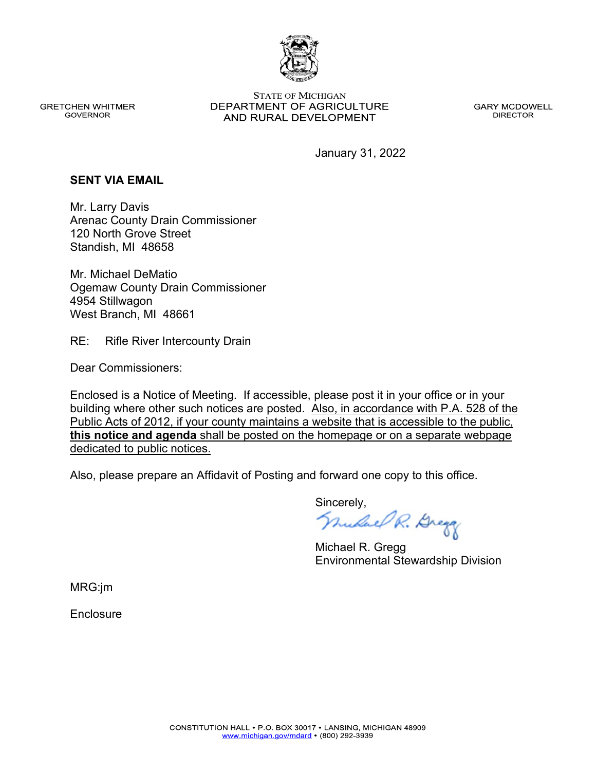

**GRETCHEN WHITMER GOVERNOR** 

**STATE OF MICHIGAN** DEPARTMENT OF AGRICULTURE AND RURAL DEVELOPMENT

**GARY MCDOWELL DIRECTOR** 

January 31, 2022

#### **SENT VIA EMAIL**

Mr. Larry Davis Arenac County Drain Commissioner 120 North Grove Street Standish, MI 48658

Mr. Michael DeMatio Ogemaw County Drain Commissioner 4954 Stillwagon West Branch, MI 48661

RE: Rifle River Intercounty Drain

Dear Commissioners:

Enclosed is a Notice of Meeting. If accessible, please post it in your office or in your building where other such notices are posted. Also, in accordance with P.A. 528 of the Public Acts of 2012, if your county maintains a website that is accessible to the public, **this notice and agenda** shall be posted on the homepage or on a separate webpage dedicated to public notices.

Also, please prepare an Affidavit of Posting and forward one copy to this office.

Sincerely,<br>*Mulael R. Brega* 

Michael R. Gregg Environmental Stewardship Division

MRG:jm

**Enclosure**